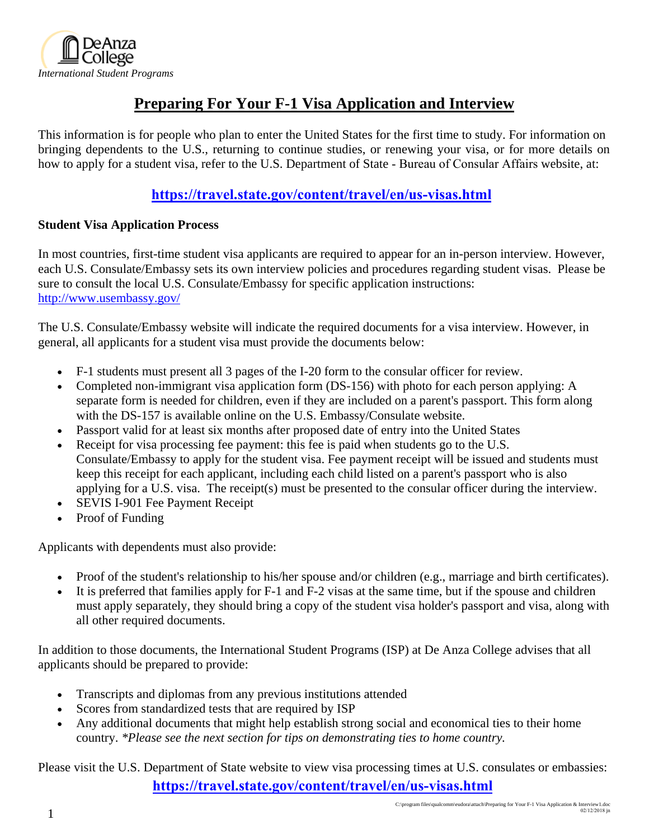

## **Preparing For Your F-1 Visa Application and Interview**

This information is for people who plan to enter the United States for the first time to study. For information on bringing dependents to the U.S., returning to continue studies, or renewing your visa, or for more details on how to apply for a student visa, refer to the U.S. Department of State - Bureau of Consular Affairs website, at:

### **https://travel.state.gov/content/travel/en/us-visas.html**

#### **Student Visa Application Process**

In most countries, first-time student visa applicants are required to appear for an in-person interview. However, each U.S. Consulate/Embassy sets its own interview policies and procedures regarding student visas. Please be sure to consult the local U.S. Consulate/Embassy for specific application instructions: http://www.usembassy.gov/

The U.S. Consulate/Embassy website will indicate the required documents for a visa interview. However, in general, all applicants for a student visa must provide the documents below:

- F-1 students must present all 3 pages of the I-20 form to the consular officer for review.
- Completed non-immigrant visa application form (DS-156) with photo for each person applying: A separate form is needed for children, even if they are included on a parent's passport. This form along with the DS-157 is available online on the U.S. Embassy/Consulate website.
- Passport valid for at least six months after proposed date of entry into the United States
- Receipt for visa processing fee payment: this fee is paid when students go to the U.S. Consulate/Embassy to apply for the student visa. Fee payment receipt will be issued and students must keep this receipt for each applicant, including each child listed on a parent's passport who is also applying for a U.S. visa. The receipt(s) must be presented to the consular officer during the interview.
- SEVIS I-901 Fee Payment Receipt
- Proof of Funding

Applicants with dependents must also provide:

- Proof of the student's relationship to his/her spouse and/or children (e.g., marriage and birth certificates).
- It is preferred that families apply for F-1 and F-2 visas at the same time, but if the spouse and children must apply separately, they should bring a copy of the student visa holder's passport and visa, along with all other required documents.

In addition to those documents, the International Student Programs (ISP) at De Anza College advises that all applicants should be prepared to provide:

- Transcripts and diplomas from any previous institutions attended
- Scores from standardized tests that are required by ISP
- Any additional documents that might help establish strong social and economical ties to their home country. *\*Please see the next section for tips on demonstrating ties to home country.*

Please visit the U.S. Department of State website to view visa processing times at U.S. consulates or embassies: **https://travel.state.gov/content/travel/en/us-visas.html**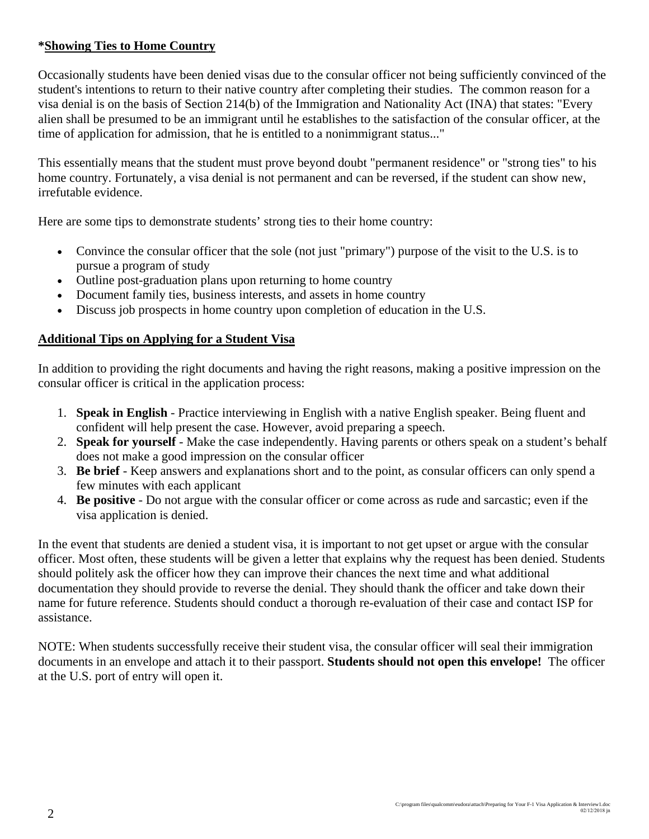#### **\*Showing Ties to Home Country**

Occasionally students have been denied visas due to the consular officer not being sufficiently convinced of the student's intentions to return to their native country after completing their studies. The common reason for a visa denial is on the basis of Section 214(b) of the Immigration and Nationality Act (INA) that states: "Every alien shall be presumed to be an immigrant until he establishes to the satisfaction of the consular officer, at the time of application for admission, that he is entitled to a nonimmigrant status..."

This essentially means that the student must prove beyond doubt "permanent residence" or "strong ties" to his home country. Fortunately, a visa denial is not permanent and can be reversed, if the student can show new, irrefutable evidence.

Here are some tips to demonstrate students' strong ties to their home country:

- Convince the consular officer that the sole (not just "primary") purpose of the visit to the U.S. is to pursue a program of study
- Outline post-graduation plans upon returning to home country
- Document family ties, business interests, and assets in home country
- Discuss job prospects in home country upon completion of education in the U.S.

#### **Additional Tips on Applying for a Student Visa**

In addition to providing the right documents and having the right reasons, making a positive impression on the consular officer is critical in the application process:

- 1. **Speak in English** Practice interviewing in English with a native English speaker. Being fluent and confident will help present the case. However, avoid preparing a speech.
- 2. **Speak for yourself** Make the case independently. Having parents or others speak on a student's behalf does not make a good impression on the consular officer
- 3. **Be brief** Keep answers and explanations short and to the point, as consular officers can only spend a few minutes with each applicant
- 4. **Be positive** Do not argue with the consular officer or come across as rude and sarcastic; even if the visa application is denied.

In the event that students are denied a student visa, it is important to not get upset or argue with the consular officer. Most often, these students will be given a letter that explains why the request has been denied. Students should politely ask the officer how they can improve their chances the next time and what additional documentation they should provide to reverse the denial. They should thank the officer and take down their name for future reference. Students should conduct a thorough re-evaluation of their case and contact ISP for assistance.

NOTE: When students successfully receive their student visa, the consular officer will seal their immigration documents in an envelope and attach it to their passport. **Students should not open this envelope!** The officer at the U.S. port of entry will open it.